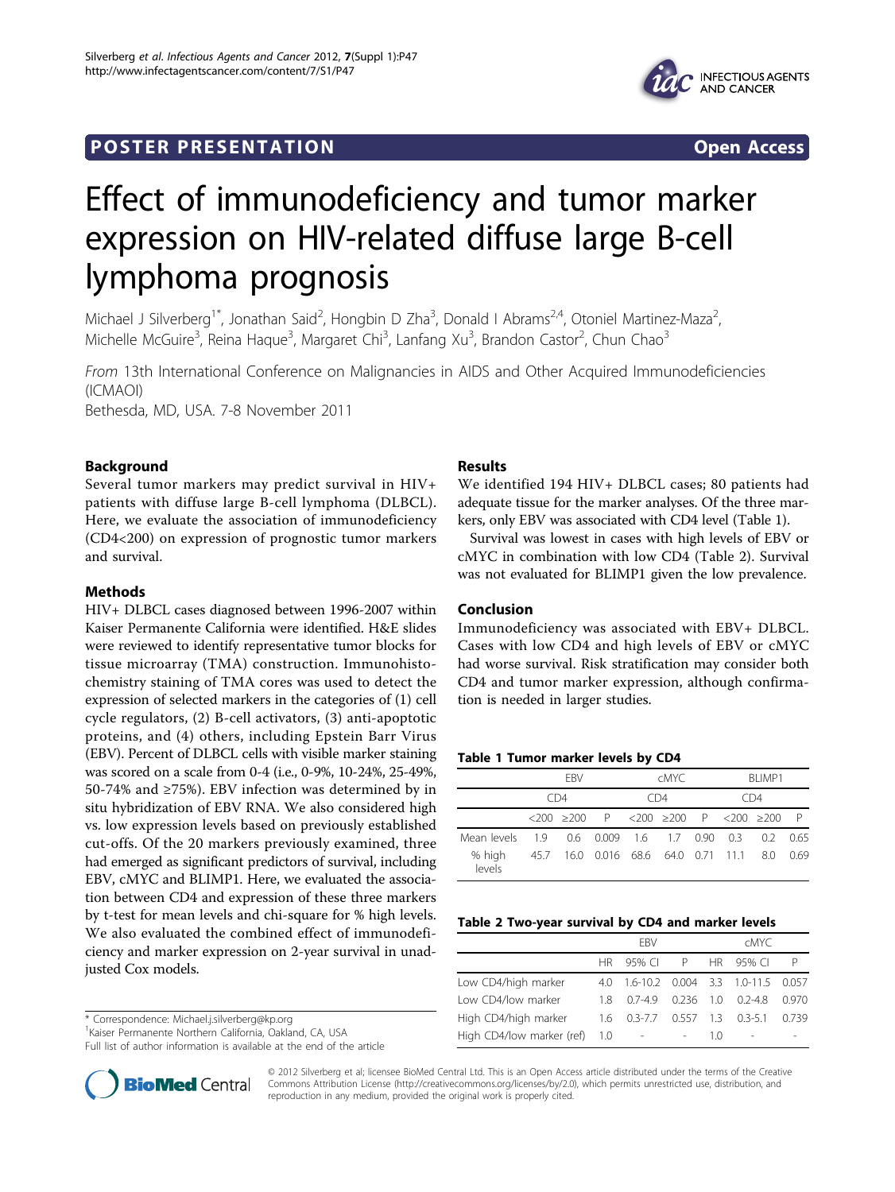### **POSTER PRESENTATION CONSUMING ACCESS**



# Effect of immunodeficiency and tumor marker expression on HIV-related diffuse large B-cell lymphoma prognosis

Michael J Silverberg<sup>1\*</sup>, Jonathan Said<sup>2</sup>, Hongbin D Zha<sup>3</sup>, Donald I Abrams<sup>2,4</sup>, Otoniel Martinez-Maza<sup>2</sup> , Michelle McGuire<sup>3</sup>, Reina Haque<sup>3</sup>, Margaret Chi<sup>3</sup>, Lanfang Xu<sup>3</sup>, Brandon Castor<sup>2</sup>, Chun Chao<sup>3</sup>

From 13th International Conference on Malignancies in AIDS and Other Acquired Immunodeficiencies (ICMAOI) Bethesda, MD, USA. 7-8 November 2011

Background

Several tumor markers may predict survival in HIV+ patients with diffuse large B-cell lymphoma (DLBCL). Here, we evaluate the association of immunodeficiency (CD4<200) on expression of prognostic tumor markers and survival.

#### Methods

HIV+ DLBCL cases diagnosed between 1996-2007 within Kaiser Permanente California were identified. H&E slides were reviewed to identify representative tumor blocks for tissue microarray (TMA) construction. Immunohistochemistry staining of TMA cores was used to detect the expression of selected markers in the categories of (1) cell cycle regulators, (2) B-cell activators, (3) anti-apoptotic proteins, and (4) others, including Epstein Barr Virus (EBV). Percent of DLBCL cells with visible marker staining was scored on a scale from 0-4 (i.e., 0-9%, 10-24%, 25-49%, 50-74% and ≥75%). EBV infection was determined by in situ hybridization of EBV RNA. We also considered high vs. low expression levels based on previously established cut-offs. Of the 20 markers previously examined, three had emerged as significant predictors of survival, including EBV, cMYC and BLIMP1. Here, we evaluated the association between CD4 and expression of these three markers by t-test for mean levels and chi-square for % high levels. We also evaluated the combined effect of immunodeficiency and marker expression on 2-year survival in unadjusted Cox models.

\* Correspondence: [Michael.j.silverberg@kp.org](mailto:Michael.j.silverberg@kp.org)

1 Kaiser Permanente Northern California, Oakland, CA, USA

Full list of author information is available at the end of the article

## BioMed Central

#### Results

We identified 194 HIV+ DLBCL cases; 80 patients had adequate tissue for the marker analyses. Of the three markers, only EBV was associated with CD4 level (Table 1).

Survival was lowest in cases with high levels of EBV or cMYC in combination with low CD4 (Table 2). Survival was not evaluated for BLIMP1 given the low prevalence.

#### Conclusion

Immunodeficiency was associated with EBV+ DLBCL. Cases with low CD4 and high levels of EBV or cMYC had worse survival. Risk stratification may consider both CD4 and tumor marker expression, although confirmation is needed in larger studies.

#### Table 1 Tumor marker levels by CD4

|                                                     |                                              | FRV |                                                                                                          |     | cMYC. |  | BI IMP1 |  |  |
|-----------------------------------------------------|----------------------------------------------|-----|----------------------------------------------------------------------------------------------------------|-----|-------|--|---------|--|--|
|                                                     | CD4                                          |     |                                                                                                          | CD4 |       |  | CD4     |  |  |
|                                                     |                                              |     | $\langle 200 \rangle$ $\geq$ 200 P $\langle 200 \rangle$ $\geq$ 200 P $\langle 200 \rangle$ $\geq$ 200 P |     |       |  |         |  |  |
| Mean levels 1.9 0.6 0.009 1.6 1.7 0.90 0.3 0.2 0.65 |                                              |     |                                                                                                          |     |       |  |         |  |  |
| % high<br>levels                                    | 45.7 16.0 0.016 68.6 64.0 0.71 11.1 8.0 0.69 |     |                                                                                                          |     |       |  |         |  |  |

#### Table 2 Two-year survival by CD4 and marker levels

|                           |       | <b>FBV</b>                            |                | <b>CMYC</b> |                     |       |  |
|---------------------------|-------|---------------------------------------|----------------|-------------|---------------------|-------|--|
|                           |       | HR 95% CIP                            |                |             | HR 95% CL           | P     |  |
| Low CD4/high marker       |       | 4.0 1.6-10.2 0.004 3.3 1.0-11.5 0.057 |                |             |                     |       |  |
| Low CD4/low marker        | 18.   | $07-49$                               | 0236 10        |             | 02-48               | 0.970 |  |
| High CD4/high marker      |       | $1.6 \quad 0.3 - 7.7$                 |                |             | $0.557$ 1.3 0.3-5.1 | 0.739 |  |
| High CD4/low marker (ref) | - 1.0 | $\sim$ $-$                            | $\overline{a}$ | 10          | ٠                   |       |  |

© 2012 Silverberg et al; licensee BioMed Central Ltd. This is an Open Access article distributed under the terms of the Creative Commons Attribution License [\(http://creativecommons.org/licenses/by/2.0](http://creativecommons.org/licenses/by/2.0)), which permits unrestricted use, distribution, and reproduction in any medium, provided the original work is properly cited.